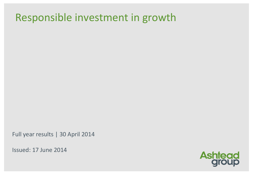# Responsible investment in growth

Full year results | 30 April 2014

Issued: 17 June 2014

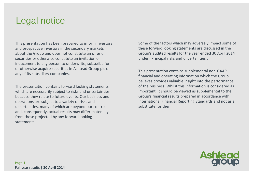### Legal notice

This presentation has been prepared to inform investors and prospective investors in the secondary markets about the Group and does not constitute an offer of securities or otherwise constitute an invitation or inducement to any person to underwrite, subscribe for or otherwise acquire securities in Ashtead Group plc or any of its subsidiary companies.

The presentation contains forward looking statements which are necessarily subject to risks and uncertainties because they relate to future events. Our business and operations are subject to a variety of risks and uncertainties, many of which are beyond our control and, consequently, actual results may differ materially from those projected by any forward looking statements.

Some of the factors which may adversely impact some of these forward looking statements are discussed in the Group's audited results for the year ended 30 April 2014 under "Principal risks and uncertainties".

This presentation contains supplemental non-GAAP financial and operating information which the Group believes provides valuable insight into the performance of the business. Whilst this information is considered as important, it should be viewed as supplemental to the Group's financial results prepared in accordance with International Financial Reporting Standards and not as a substitute for them.

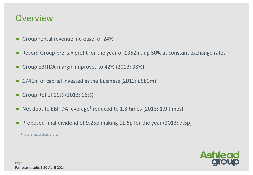### **Overview**

- Group rental revenue increase<sup>1</sup> of 24%
- Record Group pre-tax profit for the year of £362m, up 50% at constant exchange rates
- Group EBITDA margin improves to 42% (2013: 38%)
- £741m of capital invested in the business (2013: £580m)
- Group RoI of 19% (2013: 16%)
- Net debt to EBITDA leverage<sup>1</sup> reduced to 1.8 times (2013: 1.9 times)
- Proposed final dividend of 9.25p making 11.5p for the year (2013: 7.5p)

<sup>1</sup> At constant exchange rates

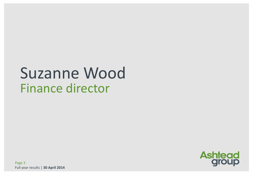# Suzanne Wood Finance director

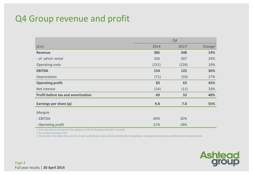### Q4 Group revenue and profit

|                                           |       | Q <sub>4</sub>    |                     |
|-------------------------------------------|-------|-------------------|---------------------|
| (fm)                                      | 2014  | 2013 <sup>1</sup> | Change <sup>2</sup> |
| <b>Revenue</b>                            | 385   | 348               | 19%                 |
| - of which rental                         | 356   | 307               | 24%                 |
| Operating costs                           | (231) | (226)             | 10%                 |
| <b>EBITDA</b>                             | 154   | 122               | 36%                 |
| Depreciation                              | (71)  | (59)              | 27%                 |
| <b>Operating profit</b>                   | 83    | 63                | 45%                 |
| Net interest                              | (14)  | (11)              | 33%                 |
| <b>Profit before tax and amortisation</b> | 69    | 52                | 48%                 |
| Earnings per share (p)                    | 9.8   | 7.0               | 55%                 |
| <b>Margins</b>                            |       |                   |                     |
| - EBITDA                                  | 40%   | 35%               |                     |
| - Operating profit                        | 21%   | 18%               |                     |

*1 Prior year figures restated for the adoption of IAS 19 'Employee Benefits' (revised)*

*2 At constant exchange rates*

*3 The results in the table above are the Group's underlying results and are stated before exceptionals, intangible amortisation and fair value remeasurements*

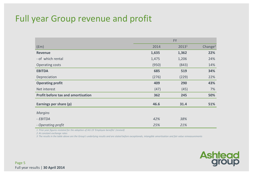### Full year Group revenue and profit

|                                    |       | <b>FY</b>         |                     |
|------------------------------------|-------|-------------------|---------------------|
| (f <sub>em</sub> )                 | 2014  | 2013 <sup>1</sup> | Change <sup>2</sup> |
| <b>Revenue</b>                     | 1,635 | 1,362             | 22%                 |
| - of which rental                  | 1,475 | 1,206             | 24%                 |
| <b>Operating costs</b>             | (950) | (843)             | 14%                 |
| <b>EBITDA</b>                      | 685   | 519               | 34%                 |
| Depreciation                       | (276) | (229)             | 22%                 |
| <b>Operating profit</b>            | 409   | 290               | 43%                 |
| Net interest                       | (47)  | (45)              | 7%                  |
| Profit before tax and amortisation | 362   | 245               | 50%                 |
| Earnings per share (p)             | 46.6  | 31.4              | 51%                 |
| <b>Margins</b>                     |       |                   |                     |
| - EBITDA                           | 42%   | 38%               |                     |
| - Operating profit                 | 25%   | 21%               |                     |

*1 Prior year figures restated for the adoption of IAS 19 'Employee benefits' (revised)*

*2 At constant exchange rates*

*3 The results in the table above are the Group's underlying results and are stated before exceptionals, intangible amortisation and fair value remeasurements*

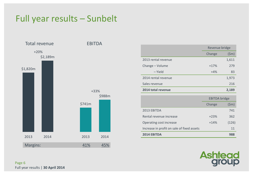### Full year results – Sunbelt



|                     | Revenue bridge |                 |
|---------------------|----------------|-----------------|
|                     | Change         | $(\textsf{5m})$ |
| 2013 rental revenue |                | 1,611           |
| Change - Volume     | $+17%$         | 279             |
| – Yield             | $+4%$          | 83              |
| 2014 rental revenue |                | 1,973           |
| Sales revenue       |                | 216             |
| 2014 total revenue  |                | 2,189           |

|                                            | <b>EBITDA</b> bridge |                 |
|--------------------------------------------|----------------------|-----------------|
|                                            | Change               | $(\mathsf{5m})$ |
| 2013 EBITDA                                |                      | 741             |
| Rental revenue increase                    | $+23%$               | 362             |
| Operating cost increase                    | $+14%$               | (126)           |
| Increase in profit on sale of fixed assets |                      | 11              |
| 2014 EBITDA                                |                      | 988             |

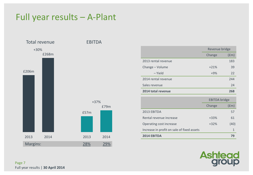### Full year results – A-Plant



|                     | Revenue bridge |                    |
|---------------------|----------------|--------------------|
|                     | Change         | (f <sub>em</sub> ) |
| 2013 rental revenue |                | 183                |
| Change - Volume     | $+21%$         | 39                 |
| – Yield             | $+9%$          | 22                 |
| 2014 rental revenue |                | 244                |
| Sales revenue       |                | 24                 |
| 2014 total revenue  |                | 268                |

|                                            | <b>EBITDA</b> bridge |      |
|--------------------------------------------|----------------------|------|
|                                            | Change               | (fm) |
| 2013 EBITDA                                |                      | 57   |
| Rental revenue increase                    | $+33%$               | 61   |
| Operating cost increase                    | $+32%$               | (40) |
| Increase in profit on sale of fixed assets |                      |      |
| <b>2014 EBITDA</b>                         |                      | 79   |

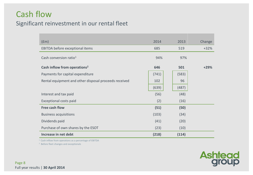### Cash flow Significant reinvestment in our rental fleet

| (fm)                                                  | 2014  | 2013  | Change |
|-------------------------------------------------------|-------|-------|--------|
| EBITDA before exceptional items                       | 685   | 519   | $+32%$ |
| Cash conversion ratio <sup>1</sup>                    | 94%   | 97%   |        |
| Cash inflow from operations <sup>2</sup>              | 646   | 501   | $+29%$ |
| Payments for capital expenditure                      | (741) | (583) |        |
| Rental equipment and other disposal proceeds received | 102   | 96    |        |
|                                                       | (639) | (487) |        |
| Interest and tax paid                                 | (56)  | (48)  |        |
| Exceptional costs paid                                | (2)   | (16)  |        |
| Free cash flow                                        | (51)  | (50)  |        |
| <b>Business acquisitions</b>                          | (103) | (34)  |        |
| Dividends paid                                        | (41)  | (20)  |        |
| Purchase of own shares by the ESOT                    | (23)  | (10)  |        |
| Increase in net debt                                  | (218) | (114) |        |

<sup>1</sup> Cash inflow from operations as a percentage of EBITDA

2 Before fleet changes and exceptionals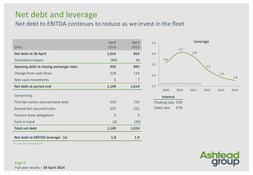### Net debt and leverage

Net debt to EBITDA continues to reduce as we invest in the fleet

| (f <sub>em</sub> )                           | April<br>2014 | April<br>2013 |
|----------------------------------------------|---------------|---------------|
| Net debt at 30 April                         | 1,014         | 854           |
| <b>Translation impact</b>                    | (88)          | 39            |
| Opening debt at closing exchange rates       | 926           | 893           |
| Change from cash flows                       | 218           | 114           |
| Non-cash movements                           | 5             | 7             |
| Net debt at period end                       | 1,149         | 1,014         |
| Comprising:                                  |               |               |
| First lien senior secured bank debt          | 610           | 716           |
| Second lien secured notes                    | 537           | 315           |
| Finance lease obligations                    | 5             | 3             |
| Cash in hand                                 | (3)           | (20)          |
| <b>Total net debt</b>                        | 1,149         | 1,014         |
| Net debt to EBITDA leverage <sup>*</sup> (x) | 1.8           | 1.9           |



\*At constant exchange rates

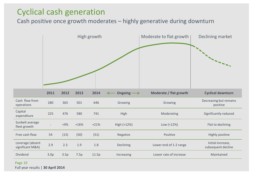### Cyclical cash generation

Cash positive once growth moderates – highly generative during downturn



Page 10 Full year results | **30 April 2014**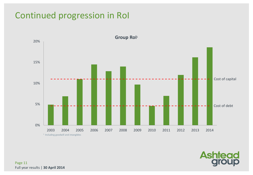### Continued progression in RoI



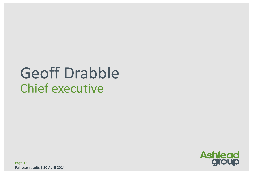# Geoff Drabble Chief executive



Page 12 Full year results | **30 April 2014**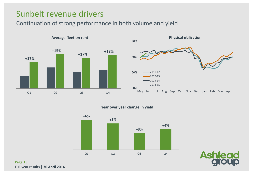### Sunbelt revenue drivers

### Continuation of strong performance in both volume and yield





#### **Year over year change in yield**





Page 13 Full year results | **30 April 2014**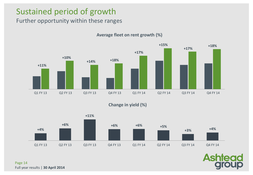### Sustained period of growth

### Further opportunity within these ranges



#### **Average fleet on rent growth (%)**

**Change in yield (%)**



Page 14 Full year results | **30 April 2014**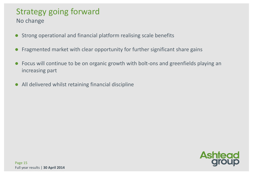### Strategy going forward

No change

- Strong operational and financial platform realising scale benefits
- Fragmented market with clear opportunity for further significant share gains
- Focus will continue to be on organic growth with bolt-ons and greenfields playing an increasing part
- All delivered whilst retaining financial discipline

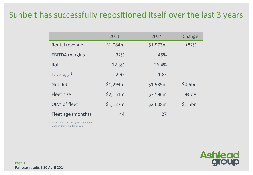### Sunbelt has successfully repositioned itself over the last 3 years

|                       | 2011     | 2014     | Change  |
|-----------------------|----------|----------|---------|
| Rental revenue        | \$1,084m | \$1,973m | $+82%$  |
| <b>EBITDA</b> margins | 32%      | 45%      |         |
| Rol                   | 12.3%    | 26.4%    |         |
| Leverage <sup>1</sup> | 2.9x     | 1.8x     |         |
| Net debt              | \$1,294m | \$1,939m | \$0.6bn |
| Fleet size            | \$2,151m | \$3,596m | $+67%$  |
| $OLV2$ of fleet       | \$1,127m | \$2,608m | \$1.5bn |
| Fleet age (months)    | 44       | 27       |         |

<sup>1</sup> At constant (April 2014) exchange rates

<sup>2</sup> Rouse Orderly Liquidation Value

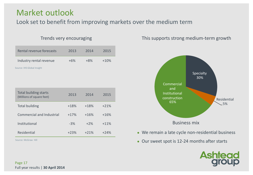### Market outlook

Look set to benefit from improving markets over the medium term

#### Trends very encouraging

| Rental revenue forecasts   | 2013  | 2014  | 2015   |
|----------------------------|-------|-------|--------|
| Industry rental revenue    | $+6%$ | $+8%$ | $+10%$ |
| Source: IHS Global Insight |       |       |        |

| Total building starts<br>(Millions of square feet) | 2013   | 2014   | 2015   |
|----------------------------------------------------|--------|--------|--------|
| <b>Total building</b>                              | $+18%$ | $+18%$ | $+21%$ |
| Commercial and Industrial                          | $+17%$ | $+16%$ | $+16%$ |
| Institutional                                      | $-3%$  | $+2%$  | $+11%$ |
| Residential                                        | $+23%$ | $+21%$ | $+24%$ |

Source: McGraw Hill

This supports strong medium-term growth



- We remain a late cycle non-residential business
- Our sweet spot is 12-24 months after starts

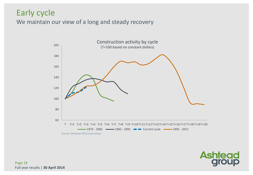### Early cycle

We maintain our view of a long and steady recovery





Page 18 Full year results | **30 April 2014**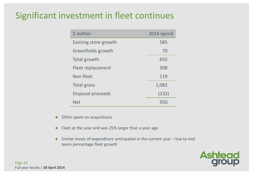### Significant investment in fleet continues

| \$ million            | 2014 spend |
|-----------------------|------------|
| Existing store growth | 585        |
| Greenfields growth    | 70         |
| Total growth          | 655        |
| Fleet replacement     | 308        |
| Non fleet             | 119        |
| Total gross           | 1,082      |
| Disposal proceeds     | (132)      |
| <b>Net</b>            | 950        |

- \$93m spent on acquisitions
- Fleet at the year end was 25% larger than a year ago
- Similar levels of expenditure anticipated in the current year low to mid teens percentage fleet growth

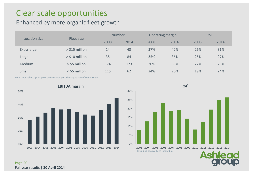### Clear scale opportunities

### Enhanced by more organic fleet growth

| Location size | Fleet size       | <b>Number</b> |     | Operating margin |      | Rol  |      |  |
|---------------|------------------|---------------|-----|------------------|------|------|------|--|
|               |                  | 2008<br>2014  |     | 2008             | 2014 | 2008 | 2014 |  |
| Extra large   | $>$ \$15 million | 14            | 43  | 37%              | 42%  | 26%  | 31%  |  |
| Large         | $>$ \$10 million | 35            | 84  | 35%              | 36%  | 25%  | 27%  |  |
| <b>Medium</b> | > \$5 million    | 174           | 173 | 30%              | 33%  | 22%  | 25%  |  |
| Small         | $<$ \$5 million  | 115           | 62  | 24%              | 26%  | 19%  | 24%  |  |

Note: 2008 reflects prior peak performance post the acquisition of NationsRent





#### Page 20 Full year results | **30 April 2014**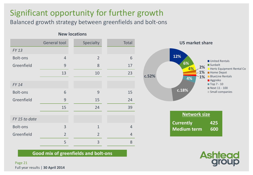### Significant opportunity for further growth

Balanced growth strategy between greenfields and bolt-ons

#### **New locations**

|                 | <b>General tool</b> | Specialty      | Total          |
|-----------------|---------------------|----------------|----------------|
| <b>FY13</b>     |                     |                |                |
| <b>Bolt-ons</b> | $\overline{4}$      | $\overline{2}$ | 6              |
| Greenfield      | 9                   | 8              | 17             |
|                 | 13                  | 10             | 23             |
| <b>FY 14</b>    |                     |                |                |
| Bolt-ons        | 6                   | 9              | 15             |
| Greenfield      | 9                   | 15             | 24             |
|                 | 15                  | 24             | 39             |
| FY 15 to date   |                     |                |                |
| <b>Bolt-ons</b> | 3                   | $\mathbf{1}$   | $\overline{4}$ |
| Greenfield      | $\overline{2}$      | $\overline{2}$ | 4              |
|                 | 5                   | 3              | 8              |



| Network size       |     |  |  |  |  |  |
|--------------------|-----|--|--|--|--|--|
| <b>Currently</b>   | 425 |  |  |  |  |  |
| <b>Medium term</b> | 600 |  |  |  |  |  |



**Good mix of greenfields and bolt-ons**

Page 21 Full year results | **30 April 2014**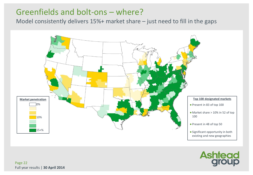### Greenfields and bolt-ons – where?

Model consistently delivers 15%+ market share – just need to fill in the gaps



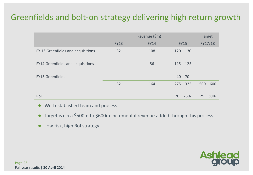### Greenfields and bolt-on strategy delivering high return growth

|                                    |                          | <b>Target</b>     |             |                          |
|------------------------------------|--------------------------|-------------------|-------------|--------------------------|
|                                    | <b>FY13</b>              | <b>FY14</b>       | <b>FY15</b> | FY17/18                  |
| FY 13 Greenfields and acquisitions | 32                       | 108               | $120 - 130$ |                          |
| FY14 Greenfields and acquisitions  | $\overline{\phantom{a}}$ | 56                | $115 - 125$ | $\qquad \qquad -$        |
| <b>FY15 Greenfields</b>            | $\overline{\phantom{a}}$ | $\qquad \qquad -$ | $40 - 70$   | $\overline{\phantom{a}}$ |
|                                    | 32                       | 164               | $275 - 325$ | $500 - 600$              |
|                                    |                          |                   |             |                          |
| Rol                                |                          |                   | $20 - 25%$  | $25 - 30%$               |

- Well established team and process
- Target is circa \$500m to \$600m incremental revenue added through this process
- Low risk, high RoI strategy

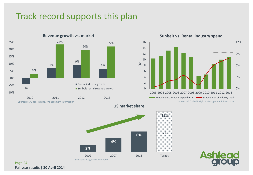### Track record supports this plan



#### **Sunbelt vs. Rental industry spend**



**US market share**

\$bn





Page 24 Full year results | **30 April 2014**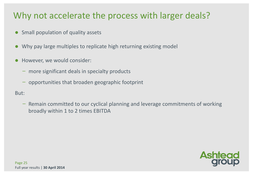### Why not accelerate the process with larger deals?

- Small population of quality assets
- Why pay large multiples to replicate high returning existing model
- However, we would consider:
	- ̶ more significant deals in specialty products
	- ̶ opportunities that broaden geographic footprint

### But:

̶ Remain committed to our cyclical planning and leverage commitments of working broadly within 1 to 2 times EBITDA

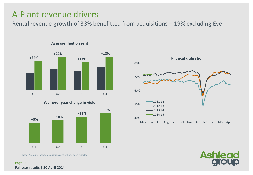### A-Plant revenue drivers

Rental revenue growth of 33% benefitted from acquisitions – 19% excluding Eve



**Average fleet on rent**

**Year over year change in yield**



Note: Amounts include acquisitions and Q1 has been restated





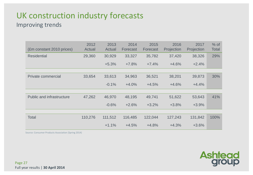# UK construction industry forecasts

### Improving trends

| (£m constant 2010 prices)        | 2012<br>Actual | 2013<br>Actual | 2014<br>Forecast | 2015<br>Forecast | 2016<br>Projection | 2017<br>Projection | $%$ of<br><b>Total</b> |
|----------------------------------|----------------|----------------|------------------|------------------|--------------------|--------------------|------------------------|
| <b>Residential</b>               | 29,360         | 30,929         | 33,327           | 35,782           | 37,420             | 38,326             | 29%                    |
|                                  |                | $+5.3%$        | $+7.8%$          | $+7.4%$          | $+4.6%$            | $+2.4%$            |                        |
|                                  |                |                |                  |                  |                    |                    |                        |
| Private commercial               | 33,654         | 33,613         | 34,963           | 36,521           | 38,201             | 39,873             | 30%                    |
|                                  |                | $-0.1%$        | $+4.0%$          | $+4.5%$          | $+4.6%$            | $+4.4%$            |                        |
|                                  |                |                |                  |                  |                    |                    |                        |
| <b>Public and infrastructure</b> | 47,262         | 46,970         | 48,195           | 49,741           | 51,622             | 53,643             | 41%                    |
|                                  |                | $-0.6%$        | $+2.6%$          | $+3.2%$          | $+3.8%$            | $+3.9%$            |                        |
|                                  |                |                |                  |                  |                    |                    |                        |
| <b>Total</b>                     | 110,276        | 111,512        | 116,485          | 122,044          | 127,243            | 131,842            | 100%                   |
|                                  |                | $+1.1%$        | $+4.5%$          | $+4.8%$          | $+4.3%$            | $+3.6%$            |                        |

**Ashtead**<br>group

Source: Consumer Products Association (Spring 2014)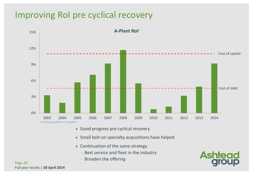### Improving RoI pre cyclical recovery



- Good progress pre cyclical recovery
- Small bolt-on specialty acquisitions have helped
- Continuation of the same strategy
	- Best service and fleet in the industry
	- ̶Broaden the offering



Page 28 Full year results | **30 April 2014**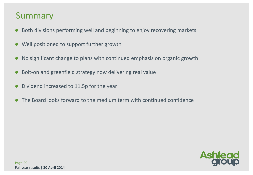### Summary

- Both divisions performing well and beginning to enjoy recovering markets
- Well positioned to support further growth
- No significant change to plans with continued emphasis on organic growth
- Bolt-on and greenfield strategy now delivering real value
- Dividend increased to 11.5p for the year
- The Board looks forward to the medium term with continued confidence

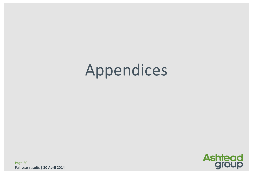# Appendices



Page 30 Full year results | **30 April 2014**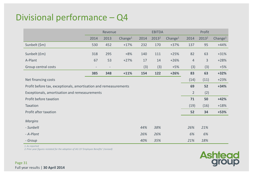### Divisional performance – Q4

|                                                                  | Revenue                  |                          |            |      | <b>EBITDA</b>     |            | Profit         |                   |                     |
|------------------------------------------------------------------|--------------------------|--------------------------|------------|------|-------------------|------------|----------------|-------------------|---------------------|
|                                                                  | 2014                     | 2013                     | Change $1$ | 2014 | 2013 <sup>2</sup> | Change $1$ | 2014           | 2013 <sup>2</sup> | Change <sup>1</sup> |
| Sunbelt (\$m)                                                    | 530                      | 452                      | $+17%$     | 232  | 170               | $+37%$     | 137            | 95                | $+44%$              |
| Sunbelt (£m)                                                     | 318                      | 295                      | $+8%$      | 140  | 111               | $+25%$     | 82             | 63                | $+31%$              |
| A-Plant                                                          | 67                       | 53                       | $+27%$     | 17   | 14                | $+26%$     | $\overline{4}$ | 3                 | $+28%$              |
| Group central costs                                              | $\overline{\phantom{a}}$ | $\overline{\phantom{a}}$ |            | (3)  | (3)               | $+5%$      | (3)            | (3)               | $+5%$               |
|                                                                  | 385                      | 348                      | $+11%$     | 154  | 122               | $+26%$     | 83             | 63                | $+32%$              |
| Net financing costs                                              |                          |                          |            |      |                   |            | (14)           | (11)              | $+23%$              |
| Profit before tax, exceptionals, amortisation and remeasurements |                          |                          |            |      |                   |            |                | 52                | $+34%$              |
| Exceptionals, amortisation and remeasurements                    |                          |                          |            |      |                   |            |                | (2)               |                     |
| Profit before taxation                                           |                          |                          |            |      |                   |            | 71             | 50                | $+42%$              |
| Taxation                                                         |                          |                          |            |      |                   |            | (19)           | (16)              | $+18%$              |
| Profit after taxation                                            |                          |                          |            |      |                   |            | 52             | 34                | $+53%$              |
| <b>Margins</b>                                                   |                          |                          |            |      |                   |            |                |                   |                     |
| - Sunbelt                                                        |                          |                          |            | 44%  | 38%               |            | 26%            | 21%               |                     |
| - A-Plant                                                        |                          |                          |            | 26%  | 26%               |            | 6%             | 6%                |                     |
| - Group                                                          |                          |                          |            | 40%  | 35%               |            | 21%            | 18%               |                     |

*1.As reported*

*2.Prior year figures restated for the adoption of IAS 19 'Employee Benefits' (revised)*

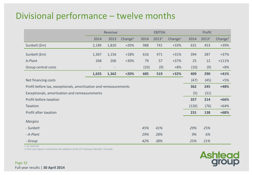### Divisional performance – twelve months

|                                                                  | Revenue                  |       |                     |      | <b>EBITDA</b>     |                     | Profit |                   |                     |
|------------------------------------------------------------------|--------------------------|-------|---------------------|------|-------------------|---------------------|--------|-------------------|---------------------|
|                                                                  | 2014                     | 2013  | Change <sup>1</sup> | 2014 | 2013 <sup>2</sup> | Change <sup>1</sup> | 2014   | 2013 <sup>2</sup> | Change <sup>1</sup> |
| Sunbelt (\$m)                                                    | 2,189                    | 1,820 | $+20%$              | 988  | 741               | $+33%$              | 631    | 453               | +39%                |
| Sunbelt (£m)                                                     | 1,367                    | 1,156 | $+18%$              | 616  | 471               | $+31%$              | 394    | 287               | $+37%$              |
| A-Plant                                                          | 268                      | 206   | $+30%$              | 79   | 57                | $+37%$              | 25     | 12                | $+111%$             |
| Group central costs                                              | $\overline{\phantom{0}}$ |       |                     | (10) | (9)               | $+8%$               | (10)   | (9)               | $+8%$               |
|                                                                  | 1,635                    | 1,362 | $+20%$              | 685  | 519               | $+32%$              | 409    | 290               | $+41%$              |
| Net financing costs                                              |                          |       |                     |      |                   |                     | (47)   | (45)              | $+5%$               |
| Profit before tax, exceptionals, amortisation and remeasurements |                          |       |                     |      |                   |                     | 362    | 245               | +48%                |
| Exceptionals, amortisation and remeasurements                    |                          |       |                     |      |                   |                     | (5)    | (31)              |                     |
| Profit before taxation                                           |                          |       |                     |      |                   |                     | 357    | 214               | $+66%$              |
| Taxation                                                         |                          |       |                     |      |                   |                     | (126)  | (76)              | $+64%$              |
| Profit after taxation                                            |                          |       |                     |      |                   |                     | 231    | 138               | $+68%$              |
| <b>Margins</b>                                                   |                          |       |                     |      |                   |                     |        |                   |                     |
| - Sunbelt                                                        |                          |       |                     | 45%  | 41%               |                     | 29%    | 25%               |                     |
| - A-Plant                                                        |                          |       |                     | 29%  | 28%               |                     | 9%     | 6%                |                     |
| - Group                                                          |                          |       |                     | 42%  | 38%               |                     | 25%    | 21%               |                     |

*1.As reported*

*2.Prior year figures restated for the adoption of IAS 19 'Employee Benefits' (revised)*

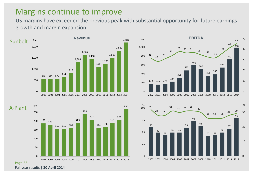### Margins continue to improve

US margins have exceeded the previous peak with substantial opportunity for future earnings growth and margin expansion









Page 33 Full year results | **30 April 2014**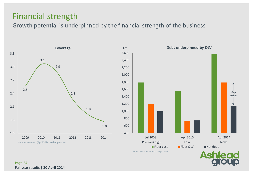### Financial strength

Growth potential is underpinned by the financial strength of the business



**Debt underpinned by OLV**

Note: At constant exchange rates

**Ashtead** 

**Gap widens**

Page 34 Full year results | **30 April 2014**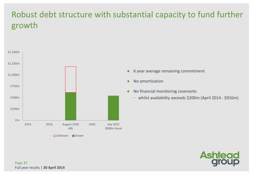## Robust debt structure with substantial capacity to fund further growth



- 6 year average remaining commitment
- No amortisation
- No financial monitoring covenants
	- whilst availability exceeds \$200m (April 2014 : \$916m)

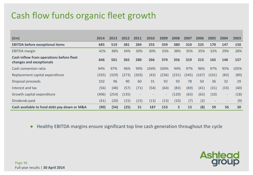## Cash flow funds organic fleet growth

| f(m)                                                                 | 2014  | 2013  | 2012  | 2011                     | 2010 | 2009  | 2008  | 2007  | 2006  | 2005                     | 2004                     | 2003 |
|----------------------------------------------------------------------|-------|-------|-------|--------------------------|------|-------|-------|-------|-------|--------------------------|--------------------------|------|
| <b>EBITDA before exceptional items</b>                               | 685   | 519   | 381   | 284                      | 255  | 359   | 380   | 310   | 225   | 170                      | 147                      | 150  |
| <b>EBITDA</b> margin                                                 | 42%   | 38%   | 34%   | 30%                      | 30%  | 33%   | 38%   | 35%   | 35%   | 32%                      | 29%                      | 28%  |
| Cash inflow from operations before fleet<br>changes and exceptionals | 646   | 501   | 365   | 280                      | 266  | 374   | 356   | 319   | 215   | 165                      | 140                      | 157  |
| Cash conversion ratio                                                | 94%   | 97%   | 96%   | 99%                      | 104% | 104%  | 94%   | 97%   | 96%   | 97%                      | 95%                      | 105% |
| Replacement capital expenditure                                      | (335) | (329) | (273) | (203)                    | (43) | (236) | (231) | (245) | (167) | (101)                    | (83)                     | (89) |
| Disposal proceeds                                                    | 102   | 96    | 90    | 60                       | 31   | 92    | 93    | 78    | 50    | 36                       | 32                       | 29   |
| Interest and tax                                                     | (56)  | (48)  | (57)  | (71)                     | (54) | (64)  | (83)  | (69)  | (41)  | (31)                     | (33)                     | (40) |
| Growth capital expenditure                                           | (406) | (254) | (135) | $\overline{\phantom{a}}$ |      | $-$   | (120) | (63)  | (63)  | (10)                     | $\sim$                   | (18) |
| Dividends paid                                                       | (41)  | (20)  | (15)  | (15)                     | (13) | (13)  | (10)  | (7)   | (2)   | $\overline{\phantom{a}}$ | $\overline{\phantom{a}}$ | (9)  |
| Cash available to fund debt pay down or M&A                          | (90)  | (54)  | (25)  | 51                       | 187  | 153   | 5     | 13    | (8)   | 59                       | 56                       | 30   |

● Healthy EBITDA margins ensure significant top line cash generation throughout the cycle

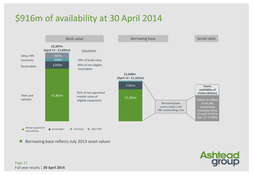## \$916m of availability at 30 April 2014



Borrowing base reflects July 2013 asset values



Page 37 Full year results | **30 April 2014**